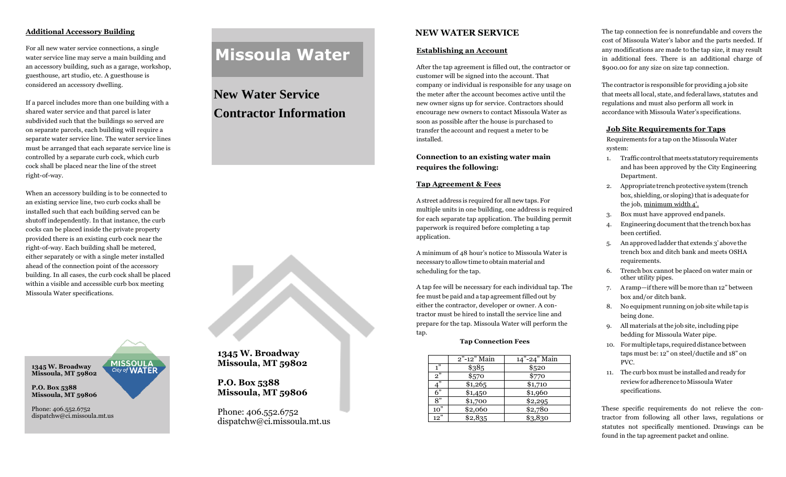## **Additional Accessory Building**

For all new water service connections, a single water service line may serve a main building and an accessory building, such as a garage, workshop, guesthouse, art studio, etc. A guesthouse is considered an accessory dwelling.

If a parcel includes more than one building with a shared water service and that parcel is later subdivided such that the buildings so served are on separate parcels, each building will require a separate water service line. The water service lines must be arranged that each separate service line is controlled by a separate curb cock, which curb cock shall be placed near the line of the street right-of-way.

When an accessory building is to be connected to an existing service line, two curb cocks shall be installed such that each building served can be shutoff independently. In that instance, the curb cocks can be placed inside the private property provided there is an existing curb cock near the right-of-way. Each building shall be metered, either separately or with a single meter installed ahead of the connection point of the accessory building. In all cases, the curb cock shall be placed within a visible and accessible curb box meeting Missoula Water specifications.

**MISSOULA**<br>City of **WATER** 

**1345 W. Broadway Missoula, MT 59802**

**P.O. Box 5388 Missoula, MT 59806**

Phone: 406.552.6752 dispatchw@ci.missoula.mt.us

# **Missoula Water**

# **New Water Service Contractor Information**



# **1345 W. Broadway Missoula, MT 59802**

# **P.O. Box 5388 Missoula, MT 59806**

Phone: 406.552.6752 dispatchw@ci.missoula.mt.us

# **NEW WATER SERVICE**

#### **Establishing an Account**

After the tap agreement is filled out, the contractor or customer will be signed into the account. That company or individual is responsible for any usage on the meter after the account becomes active until the new owner signs up for service. Contractors should encourage new owners to contact Missoula Water as soon as possible after the house is purchased to transfer the account and request a meter to be installed.

## **Connection to an existing water main requires the following:**

#### **Tap Agreement & Fees**

A street address is required for all new taps. For multiple units in one building, one address is required for each separate tap application. The building permit paperwork is required before completing a tap application.

A minimum of 48 hour's notice to Missoula Water is necessary to allowtime to obtain material and scheduling for the tap.

A tap fee will be necessary for each individual tap. The fee must be paid and a tap agreement filled out by either the contractor, developer or owner. A contractor must be hired to install the service line and prepare for the tap. Missoula Water will perform the tap.

#### **Tap Connection Fees**

|     | 2"-12" Main | 14"-24" Main |
|-----|-------------|--------------|
| 1"  | \$385       | \$520        |
| 2"  | \$570       | \$770        |
| 4"  | \$1,265     | \$1,710      |
| 6"  | \$1,450     | \$1,960      |
| 8"  | \$1,700     | \$2,295      |
| 10" | \$2,060     | \$2,780      |
| 12" | \$2,835     | \$3,830      |
|     |             |              |

The tap connection fee is nonrefundable and covers the cost of Missoula Water's labor and the parts needed. If any modifications are made to the tap size, it may result in additional fees. There is an additional charge of \$900.00 for any size on size tap connection.

The contractor is responsible for providing a job site that meets all local, state, and federal laws, statutes and regulations and must also perform all work in accordance with Missoula Water's specifications.

#### **Job Site Requirements for Taps**

Requirements for a tap on the Missoula Water system:

- 1. Traffic control that meets statutory requirements and has been approved by the City Engineering Department.
- 2. Appropriate trench protective system (trench box, shielding, or sloping) that is adequate for the job, minimum width 4'.
- 3. Box must have approved endpanels.
- 4. Engineering document that the trench box has been certified.
- 5. An approved ladder that extends 3' above the trench box and ditch bank and meets OSHA requirements.
- 6. Trench box cannot be placed on water main or other utility pipes.
- 7. Aramp—ifthere will be more than 12" between box and/or ditch bank.
- 8. No equipment running on job site while tap is being done.
- 9. All materials atthe job site, including pipe bedding for Missoula Water pipe.
- 10. For multiple taps, required distance between taps must be: 12" on steel/ductile and 18" on PVC.
- 11. The curb box must be installed and ready for review for adherence to Missoula Water specifications.

These specific requirements do not relieve the contractor from following all other laws, regulations or statutes not specifically mentioned. Drawings can be found in the tap agreement packet and online.